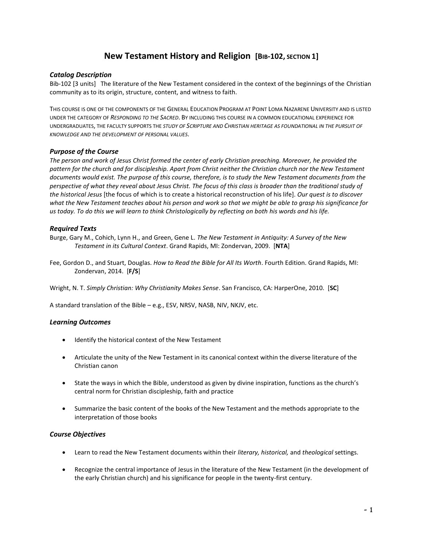# **New Testament History and Religion** [BIB-102, SECTION 1]

## *Catalog Description*

Bib-102 [3 units] The literature of the New Testament considered in the context of the beginnings of the Christian community as to its origin, structure, content, and witness to faith.

THIS COURSE IS ONE OF THE COMPONENTS OF THE GENERAL EDUCATION PROGRAM AT POINT LOMA NAZARENE UNIVERSITY AND IS LISTED UNDER THE CATEGORY OF *RESPONDING TO THE SACRED*. BY INCLUDING THIS COURSE IN A COMMON EDUCATIONAL EXPERIENCE FOR UNDERGRADUATES, THE FACULTY SUPPORTS THE *STUDY OF SCRIPTURE AND CHRISTIAN HERITAGE AS FOUNDATIONAL IN THE PURSUIT OF KNOWLEDGE AND THE DEVELOPMENT OF PERSONAL VALUES*.

## *Purpose of the Course*

*The person and work of Jesus Christ formed the center of early Christian preaching. Moreover, he provided the pattern for the church and for discipleship. Apart from Christ neither the Christian church nor the New Testament documents would exist. The purpose of this course, therefore, is to study the New Testament documents from the perspective of what they reveal about Jesus Christ. The focus of this class is broader than the traditional study of the historical Jesus* [the focus of which is to create a historical reconstruction of his life]. *Our quest is to discover what the New Testament teaches about his person and work so that we might be able to grasp his significance for us today. To do this we will learn to think Christologically by reflecting on both his words and his life.*

## *Required Texts*

Burge, Gary M., Cohich, Lynn H., and Green, Gene L. *The New Testament in Antiquity: A Survey of the New Testament in its Cultural Context*. Grand Rapids, MI: Zondervan, 2009. [**NTA**]

Fee, Gordon D., and Stuart, Douglas. *How to Read the Bible for All Its Worth*. Fourth Edition. Grand Rapids, MI: Zondervan, 2014. [**F/S**]

Wright, N. T. *Simply Christian: Why Christianity Makes Sense*. San Francisco, CA: HarperOne, 2010. [**SC**]

A standard translation of the Bible – e.g., ESV, NRSV, NASB, NIV, NKJV, etc.

## *Learning Outcomes*

- Identify the historical context of the New Testament
- Articulate the unity of the New Testament in its canonical context within the diverse literature of the Christian canon
- State the ways in which the Bible, understood as given by divine inspiration, functions as the church's central norm for Christian discipleship, faith and practice
- Summarize the basic content of the books of the New Testament and the methods appropriate to the interpretation of those books

## *Course Objectives*

- Learn to read the New Testament documents within their *literary, historical,* and *theological* settings.
- Recognize the central importance of Jesus in the literature of the New Testament (in the development of the early Christian church) and his significance for people in the twenty-first century.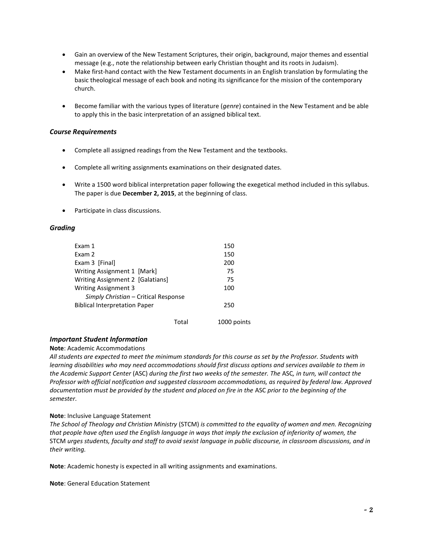- Gain an overview of the New Testament Scriptures, their origin, background, major themes and essential message (e.g., note the relationship between early Christian thought and its roots in Judaism).
- Make first-hand contact with the New Testament documents in an English translation by formulating the basic theological message of each book and noting its significance for the mission of the contemporary church.
- Become familiar with the various types of literature (*genre*) contained in the New Testament and be able to apply this in the basic interpretation of an assigned biblical text.

## *Course Requirements*

- Complete all assigned readings from the New Testament and the textbooks.
- Complete all writing assignments examinations on their designated dates.
- Write a 1500 word biblical interpretation paper following the exegetical method included in this syllabus. The paper is due **December 2, 2015**, at the beginning of class.
- Participate in class discussions.

## *Grading*

| Exam 1                               | 150 |
|--------------------------------------|-----|
| Exam 2                               | 150 |
| Exam 3 [Final]                       | 200 |
| Writing Assignment 1 [Mark]          | 75  |
| Writing Assignment 2 [Galatians]     | 75  |
| <b>Writing Assignment 3</b>          | 100 |
| Simply Christian - Critical Response |     |
| <b>Biblical Interpretation Paper</b> | 250 |
|                                      |     |

Total 1000 points

## *Important Student Information*

## **Note**: Academic Accommodations

*All students are expected to meet the minimum standards for this course as set by the Professor. Students with learning disabilities who may need accommodations should first discuss options and services available to them in the Academic Support Center* (ASC) *during the first two weeks of the semester. The* ASC*, in turn, will contact the Professor with official notification and suggested classroom accommodations, as required by federal law. Approved documentation must be provided by the student and placed on fire in the* ASC *prior to the beginning of the semester*.

## **Note**: Inclusive Language Statement

*The School of Theology and Christian Ministry* (STCM) *is committed to the equality of women and men. Recognizing that people have often used the English language in ways that imply the exclusion of inferiority of women, the*  STCM *urges students, faculty and staff to avoid sexist language in public discourse, in classroom discussions, and in their writing.*

**Note**: Academic honesty is expected in all writing assignments and examinations.

**Note**: General Education Statement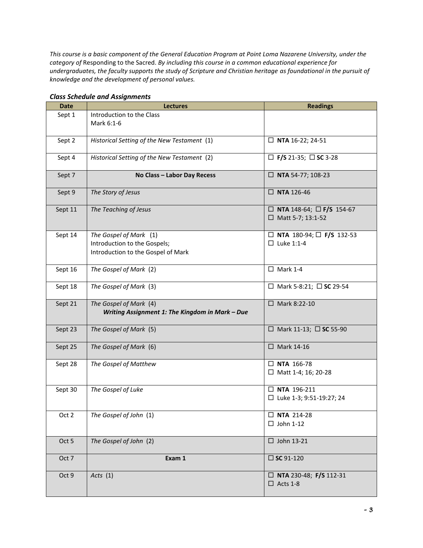*This course is a basic component of the General Education Program at Point Loma Nazarene University, under the category of* Responding to the Sacred. *By including this course in a common educational experience for undergraduates, the faculty supports the study of Scripture and Christian heritage as foundational in the pursuit of knowledge and the development of personal values.*

| <b>Date</b> | <b>Lectures</b>                                 | <b>Readings</b>                                 |
|-------------|-------------------------------------------------|-------------------------------------------------|
| Sept 1      | Introduction to the Class                       |                                                 |
|             | Mark 6:1-6                                      |                                                 |
| Sept 2      | Historical Setting of the New Testament (1)     | $\Box$ NTA 16-22; 24-51                         |
|             |                                                 |                                                 |
| Sept 4      | Historical Setting of the New Testament (2)     | $\square$ F/S 21-35; $\square$ SC 3-28          |
|             |                                                 |                                                 |
| Sept 7      | No Class - Labor Day Recess                     | $\Box$ NTA 54-77; 108-23                        |
| Sept 9      | The Story of Jesus                              | $\square$ NTA 126-46                            |
|             |                                                 |                                                 |
| Sept 11     | The Teaching of Jesus                           | $\Box$ NTA 148-64; $\Box$ F/S 154-67            |
|             |                                                 | $\Box$ Matt 5-7; 13:1-52                        |
| Sept 14     | The Gospel of Mark (1)                          | $\Box$ NTA 180-94; $\Box$ F/S 132-53            |
|             | Introduction to the Gospels;                    | $\Box$ Luke 1:1-4                               |
|             | Introduction to the Gospel of Mark              |                                                 |
|             |                                                 |                                                 |
| Sept 16     | The Gospel of Mark (2)                          | $\Box$ Mark 1-4                                 |
|             |                                                 |                                                 |
| Sept 18     | The Gospel of Mark (3)                          | □ Mark 5-8:21; □ SC 29-54                       |
| Sept 21     | The Gospel of Mark (4)                          | □ Mark 8:22-10                                  |
|             | Writing Assignment 1: The Kingdom in Mark - Due |                                                 |
|             |                                                 |                                                 |
| Sept 23     | The Gospel of Mark (5)                          | $\Box$ Mark 11-13; $\Box$ SC 55-90              |
|             |                                                 |                                                 |
| Sept 25     | The Gospel of Mark (6)                          | $\Box$ Mark 14-16                               |
|             |                                                 |                                                 |
| Sept 28     | The Gospel of Matthew                           | $\Box$ NTA 166-78<br>$\Box$ Matt 1-4; 16; 20-28 |
|             |                                                 |                                                 |
| Sept 30     | The Gospel of Luke                              | $\square$ NTA 196-211                           |
|             |                                                 | □ Luke 1-3; 9:51-19:27; 24                      |
|             |                                                 |                                                 |
| Oct 2       | The Gospel of John (1)                          | $\square$ NTA 214-28                            |
|             |                                                 | $\Box$ John 1-12                                |
| Oct 5       | The Gospel of John (2)                          | $\square$ John 13-21                            |
|             |                                                 |                                                 |
| Oct 7       | Exam 1                                          | $\square$ SC 91-120                             |
|             |                                                 |                                                 |
| Oct 9       | Acts(1)                                         | $\Box$ NTA 230-48; F/S 112-31                   |
|             |                                                 | $\Box$ Acts 1-8                                 |

# *Class Schedule and Assignments*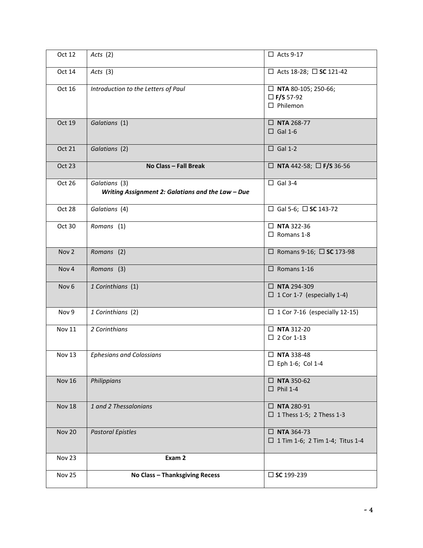| Oct 12           | Acts $(2)$                                                         | $\Box$ Acts 9-17                                                     |
|------------------|--------------------------------------------------------------------|----------------------------------------------------------------------|
| Oct 14           | Acts(3)                                                            | □ Acts 18-28; □ SC 121-42                                            |
| Oct 16           | Introduction to the Letters of Paul                                | $\Box$ NTA 80-105; 250-66;<br>$\Box$ F/S 57-92<br>$\square$ Philemon |
| <b>Oct 19</b>    | Galatians (1)                                                      | $\square$ NTA 268-77<br>$\Box$ Gal 1-6                               |
| <b>Oct 21</b>    | Galatians (2)                                                      | $\Box$ Gal 1-2                                                       |
| <b>Oct 23</b>    | No Class - Fall Break                                              | $\Box$ NTA 442-58; $\Box$ F/S 36-56                                  |
| Oct 26           | Galatians (3)<br>Writing Assignment 2: Galatians and the Law - Due | $\Box$ Gal 3-4                                                       |
| Oct 28           | Galatians (4)                                                      | $\Box$ Gal 5-6; $\Box$ SC 143-72                                     |
| Oct 30           | Romans (1)                                                         | $\square$ NTA 322-36<br>$\Box$ Romans 1-8                            |
| Nov <sub>2</sub> | Romans (2)                                                         | $\Box$ Romans 9-16; $\Box$ SC 173-98                                 |
| Nov <sub>4</sub> | Romans (3)                                                         | $\Box$ Romans 1-16                                                   |
| Nov <sub>6</sub> | 1 Corinthians (1)                                                  | $\square$ NTA 294-309<br>$\Box$ 1 Cor 1-7 (especially 1-4)           |
| Nov 9            | 1 Corinthians (2)                                                  | $\Box$ 1 Cor 7-16 (especially 12-15)                                 |
| <b>Nov 11</b>    | 2 Corinthians                                                      | $\square$ NTA 312-20<br>$\Box$ 2 Cor 1-13                            |
| <b>Nov 13</b>    | <b>Ephesians and Colossians</b>                                    | $\Box$ NTA 338-48<br>$\square$ Eph 1-6; Col 1-4                      |
| <b>Nov 16</b>    | Philippians                                                        | $\square$ NTA 350-62<br>$\Box$ Phil 1-4                              |
| <b>Nov 18</b>    | 1 and 2 Thessalonians                                              | $\square$ NTA 280-91<br>$\Box$ 1 Thess 1-5; 2 Thess 1-3              |
| <b>Nov 20</b>    | <b>Pastoral Epistles</b>                                           | $\square$ NTA 364-73<br>$\Box$ 1 Tim 1-6; 2 Tim 1-4; Titus 1-4       |
| Nov 23           | Exam 2                                                             |                                                                      |
| Nov 25           | <b>No Class - Thanksgiving Recess</b>                              | $\square$ SC 199-239                                                 |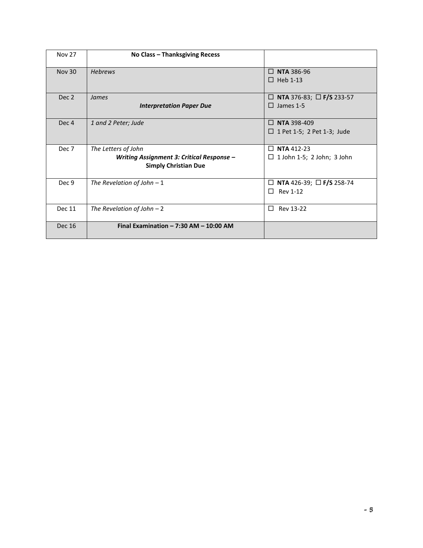| <b>Nov 27</b>    | <b>No Class - Thanksgiving Recess</b>                                                           |                                                                   |
|------------------|-------------------------------------------------------------------------------------------------|-------------------------------------------------------------------|
| <b>Nov 30</b>    | <b>Hebrews</b>                                                                                  | <b>NTA 386-96</b><br>П<br>$\Box$ Heb 1-13                         |
| Dec 2            | James<br><b>Interpretation Paper Due</b>                                                        | □ NTA 376-83; □ F/S 233-57<br>$\Box$ James 1-5                    |
| Dec <sub>4</sub> | 1 and 2 Peter; Jude                                                                             | <b>NTA 398-409</b><br>$\Box$<br>$\Box$ 1 Pet 1-5; 2 Pet 1-3; Jude |
| Dec 7            | The Letters of John<br>Writing Assignment 3: Critical Response -<br><b>Simply Christian Due</b> | <b>NTA</b> 412-23<br>П.<br>$\Box$ 1 John 1-5; 2 John; 3 John      |
| Dec 9            | The Revelation of John $-1$                                                                     | <b>NTA</b> 426-39; $\Box$ <b>F/S</b> 258-74<br>⊔<br>Rev 1-12<br>П |
| <b>Dec 11</b>    | The Revelation of John $-2$                                                                     | $\Box$<br>Rev 13-22                                               |
| <b>Dec 16</b>    | Final Examination $- 7:30$ AM $- 10:00$ AM                                                      |                                                                   |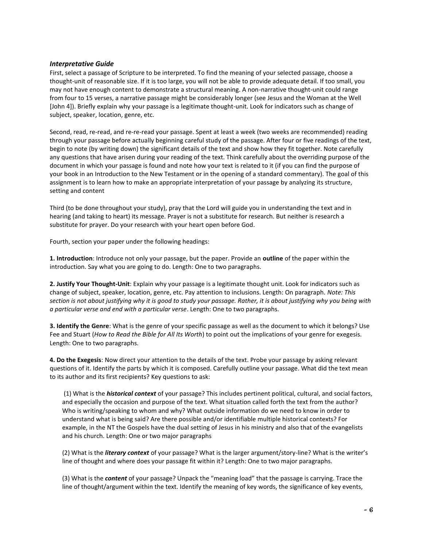## *Interpretative Guide*

First, select a passage of Scripture to be interpreted. To find the meaning of your selected passage, choose a thought-unit of reasonable size. If it is too large, you will not be able to provide adequate detail. If too small, you may not have enough content to demonstrate a structural meaning. A non-narrative thought-unit could range from four to 15 verses, a narrative passage might be considerably longer (see Jesus and the Woman at the Well [John 4]). Briefly explain why your passage is a legitimate thought-unit. Look for indicators such as change of subject, speaker, location, genre, etc.

Second, read, re-read, and re-re-read your passage. Spent at least a week (two weeks are recommended) reading through your passage before actually beginning careful study of the passage. After four or five readings of the text, begin to note (by writing down) the significant details of the text and show how they fit together. Note carefully any questions that have arisen during your reading of the text. Think carefully about the overriding purpose of the document in which your passage is found and note how your text is related to it (if you can find the purpose of your book in an Introduction to the New Testament or in the opening of a standard commentary). The goal of this assignment is to learn how to make an appropriate interpretation of your passage by analyzing its structure, setting and content

Third (to be done throughout your study), pray that the Lord will guide you in understanding the text and in hearing (and taking to heart) its message. Prayer is not a substitute for research. But neither is research a substitute for prayer. Do your research with your heart open before God.

Fourth, section your paper under the following headings:

**1. Introduction**: Introduce not only your passage, but the paper. Provide an **outline** of the paper within the introduction. Say what you are going to do. Length: One to two paragraphs.

**2. Justify Your Thought-Unit**: Explain why your passage is a legitimate thought unit. Look for indicators such as change of subject, speaker, location, genre, etc. Pay attention to inclusions. Length: On paragraph. *Note: This section is not about justifying why it is good to study your passage. Rather, it is about justifying why you being with a particular verse and end with a particular verse*. Length: One to two paragraphs.

**3. Identify the Genre**: What is the genre of your specific passage as well as the document to which it belongs? Use Fee and Stuart (*How to Read the Bible for All Its Worth*) to point out the implications of your genre for exegesis. Length: One to two paragraphs.

**4. Do the Exegesis**: Now direct your attention to the details of the text. Probe your passage by asking relevant questions of it. Identify the parts by which it is composed. Carefully outline your passage. What did the text mean to its author and its first recipients? Key questions to ask:

(1) What is the *historical context* of your passage? This includes pertinent political, cultural, and social factors, and especially the occasion and purpose of the text. What situation called forth the text from the author? Who is writing/speaking to whom and why? What outside information do we need to know in order to understand what is being said? Are there possible and/or identifiable multiple historical contexts? For example, in the NT the Gospels have the dual setting of Jesus in his ministry and also that of the evangelists and his church. Length: One or two major paragraphs

(2) What is the *literary context* of your passage? What is the larger argument/story-line? What is the writer's line of thought and where does your passage fit within it? Length: One to two major paragraphs.

(3) What is the *content* of your passage? Unpack the "meaning load" that the passage is carrying. Trace the line of thought/argument within the text. Identify the meaning of key words, the significance of key events,